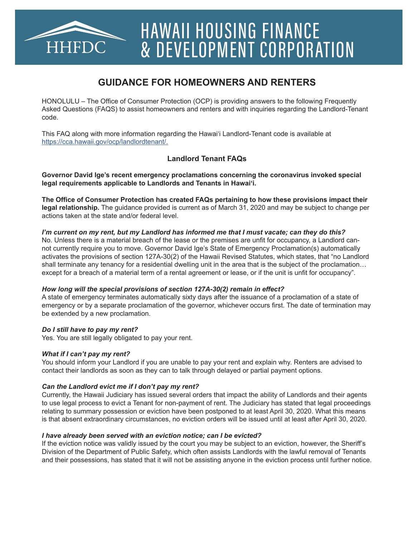

# HAWAII HOUSING FINANCE & DEVELOPMENT CORPORATION

## **GUIDANCE FOR HOMEOWNERS AND RENTERS**

HONOLULU – The Office of Consumer Protection (OCP) is providing answers to the following Frequently Asked Questions (FAQS) to assist homeowners and renters and with inquiries regarding the Landlord-Tenant code.

This FAQ along with more information regarding the Hawai'i Landlord-Tenant code is available at https://cca.hawaii.gov/ocp/landlordtenant/.

### **Landlord Tenant FAQs**

**Governor David Ige's recent emergency proclamations concerning the coronavirus invoked special legal requirements applicable to Landlords and Tenants in Hawai'i.** 

**The Office of Consumer Protection has created FAQs pertaining to how these provisions impact their legal relationship.** The guidance provided is current as of March 31, 2020 and may be subject to change per actions taken at the state and/or federal level.

#### *I'm current on my rent, but my Landlord has informed me that I must vacate; can they do this?*

No. Unless there is a material breach of the lease or the premises are unfit for occupancy, a Landlord cannot currently require you to move. Governor David Ige's State of Emergency Proclamation(s) automatically activates the provisions of section 127A-30(2) of the Hawaii Revised Statutes, which states, that "no Landlord shall terminate any tenancy for a residential dwelling unit in the area that is the subject of the proclamation… except for a breach of a material term of a rental agreement or lease, or if the unit is unfit for occupancy".

#### *How long will the special provisions of section 127A-30(2) remain in effect?*

A state of emergency terminates automatically sixty days after the issuance of a proclamation of a state of emergency or by a separate proclamation of the governor, whichever occurs first. The date of termination may be extended by a new proclamation.

#### *Do I still have to pay my rent?*

Yes. You are still legally obligated to pay your rent.

#### *What if I can't pay my rent?*

You should inform your Landlord if you are unable to pay your rent and explain why. Renters are advised to contact their landlords as soon as they can to talk through delayed or partial payment options.

#### *Can the Landlord evict me if I don't pay my rent?*

Currently, the Hawaii Judiciary has issued several orders that impact the ability of Landlords and their agents to use legal process to evict a Tenant for non-payment of rent. The Judiciary has stated that legal proceedings relating to summary possession or eviction have been postponed to at least April 30, 2020. What this means is that absent extraordinary circumstances, no eviction orders will be issued until at least after April 30, 2020.

#### *I have already been served with an eviction notice; can I be evicted?*

If the eviction notice was validly issued by the court you may be subject to an eviction, however, the Sheriff's Division of the Department of Public Safety, which often assists Landlords with the lawful removal of Tenants and their possessions, has stated that it will not be assisting anyone in the eviction process until further notice.